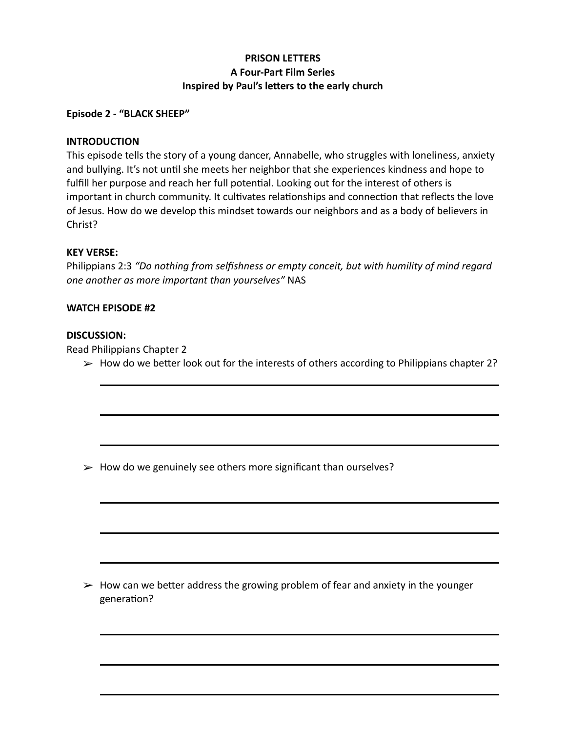# **PRISON LETTERS A Four-Part Film Series Inspired by Paul's letters to the early church**

## **Episode 2 - "BLACK SHEEP"**

### **INTRODUCTION**

This episode tells the story of a young dancer, Annabelle, who struggles with loneliness, anxiety and bullying. It's not until she meets her neighbor that she experiences kindness and hope to fulfill her purpose and reach her full potential. Looking out for the interest of others is important in church community. It cultivates relationships and connection that reflects the love of Jesus. How do we develop this mindset towards our neighbors and as a body of believers in Christ?

### **KEY VERSE:**

Philippians 2:3 *"Do nothing from selfishness or empty conceit, but with humility of mind regard one another as more important than yourselves"* NAS

### **WATCH EPISODE #2**

### **DISCUSSION:**

Read Philippians Chapter 2

 $\triangleright$  How do we better look out for the interests of others according to Philippians chapter 2?

 $\geq$  How do we genuinely see others more significant than ourselves?

 $\triangleright$  How can we better address the growing problem of fear and anxiety in the younger generation?